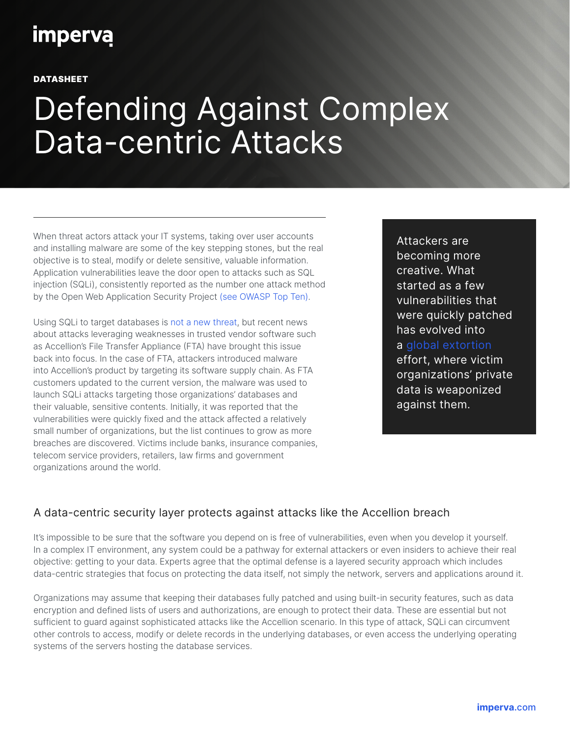## **imperva**

DATASHEET

# Defending Against Complex Data-centric Attacks

When threat actors attack your IT systems, taking over user accounts and installing malware are some of the key stepping stones, but the real objective is to steal, modify or delete sensitive, valuable information. Application vulnerabilities leave the door open to attacks such as SQL injection (SQLi), consistently reported as the number one attack method by the Open Web Application Security Project [\(see OWASP Top Ten\)](https://owasp.org/www-project-top-ten/).

Using SQLi to target databases is [not a new threat,](https://www.imperva.com/blog/sql-injection-attacks-so-old-but-still-so-relevant-heres-why-charts/) but recent news about attacks leveraging weaknesses in trusted vendor software such as Accellion's File Transfer Appliance (FTA) have brought this issue back into focus. In the case of FTA, attackers introduced malware into Accellion's product by targeting its software supply chain. As FTA customers updated to the current version, the malware was used to launch SQLi attacks targeting those organizations' databases and their valuable, sensitive contents. Initially, it was reported that the vulnerabilities were quickly fixed and the attack affected a relatively small number of organizations, but the list continues to grow as more breaches are discovered. Victims include banks, insurance companies, telecom service providers, retailers, law firms and government organizations around the world.

Attackers are becoming more creative. What started as a few vulnerabilities that were quickly patched has evolved into a [global extortion](https://www.wired.com/story/accellion-breach-victims-extortion/) effort, where victim organizations' private data is weaponized against them.

#### A data-centric security layer protects against attacks like the Accellion breach

It's impossible to be sure that the software you depend on is free of vulnerabilities, even when you develop it yourself. In a complex IT environment, any system could be a pathway for external attackers or even insiders to achieve their real objective: getting to your data. Experts agree that the optimal defense is a layered security approach which includes data-centric strategies that focus on protecting the data itself, not simply the network, servers and applications around it.

Organizations may assume that keeping their databases fully patched and using built-in security features, such as data encryption and defined lists of users and authorizations, are enough to protect their data. These are essential but not sufficient to guard against sophisticated attacks like the Accellion scenario. In this type of attack, SQLi can circumvent other controls to access, modify or delete records in the underlying databases, or even access the underlying operating systems of the servers hosting the database services.